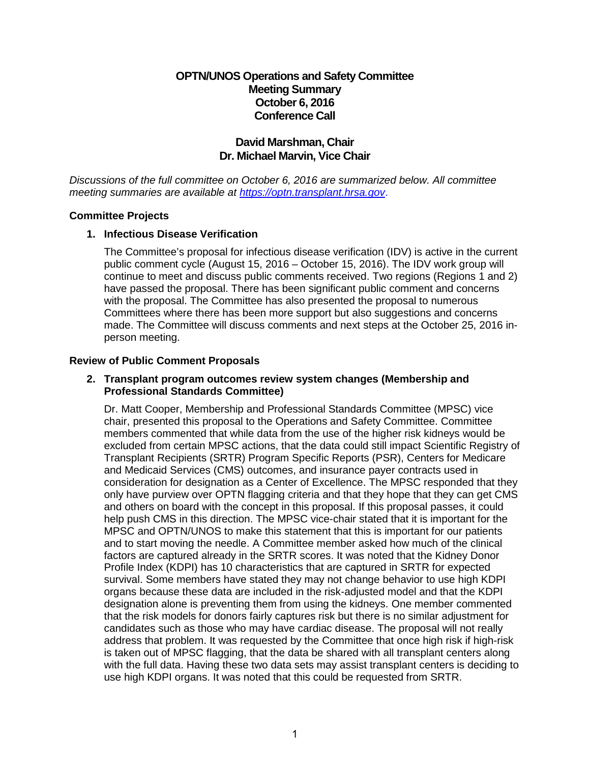## **OPTN/UNOS Operations and Safety Committee Meeting Summary October 6, 2016 Conference Call**

## **David Marshman, Chair Dr. Michael Marvin, Vice Chair**

*Discussions of the full committee on October 6, 2016 are summarized below. All committee meeting summaries are available at [https://optn.transplant.hrsa.gov](https://optn.transplant.hrsa.gov/)*.

#### **Committee Projects**

#### **1. Infectious Disease Verification**

The Committee's proposal for infectious disease verification (IDV) is active in the current public comment cycle (August 15, 2016 – October 15, 2016). The IDV work group will continue to meet and discuss public comments received. Two regions (Regions 1 and 2) have passed the proposal. There has been significant public comment and concerns with the proposal. The Committee has also presented the proposal to numerous Committees where there has been more support but also suggestions and concerns made. The Committee will discuss comments and next steps at the October 25, 2016 inperson meeting.

#### **Review of Public Comment Proposals**

#### **2. Transplant program outcomes review system changes (Membership and Professional Standards Committee)**

Dr. Matt Cooper, Membership and Professional Standards Committee (MPSC) vice chair, presented this proposal to the Operations and Safety Committee. Committee members commented that while data from the use of the higher risk kidneys would be excluded from certain MPSC actions, that the data could still impact Scientific Registry of Transplant Recipients (SRTR) Program Specific Reports (PSR), Centers for Medicare and Medicaid Services (CMS) outcomes, and insurance payer contracts used in consideration for designation as a Center of Excellence. The MPSC responded that they only have purview over OPTN flagging criteria and that they hope that they can get CMS and others on board with the concept in this proposal. If this proposal passes, it could help push CMS in this direction. The MPSC vice-chair stated that it is important for the MPSC and OPTN/UNOS to make this statement that this is important for our patients and to start moving the needle. A Committee member asked how much of the clinical factors are captured already in the SRTR scores. It was noted that the Kidney Donor Profile Index (KDPI) has 10 characteristics that are captured in SRTR for expected survival. Some members have stated they may not change behavior to use high KDPI organs because these data are included in the risk-adjusted model and that the KDPI designation alone is preventing them from using the kidneys. One member commented that the risk models for donors fairly captures risk but there is no similar adjustment for candidates such as those who may have cardiac disease. The proposal will not really address that problem. It was requested by the Committee that once high risk if high-risk is taken out of MPSC flagging, that the data be shared with all transplant centers along with the full data. Having these two data sets may assist transplant centers is deciding to use high KDPI organs. It was noted that this could be requested from SRTR.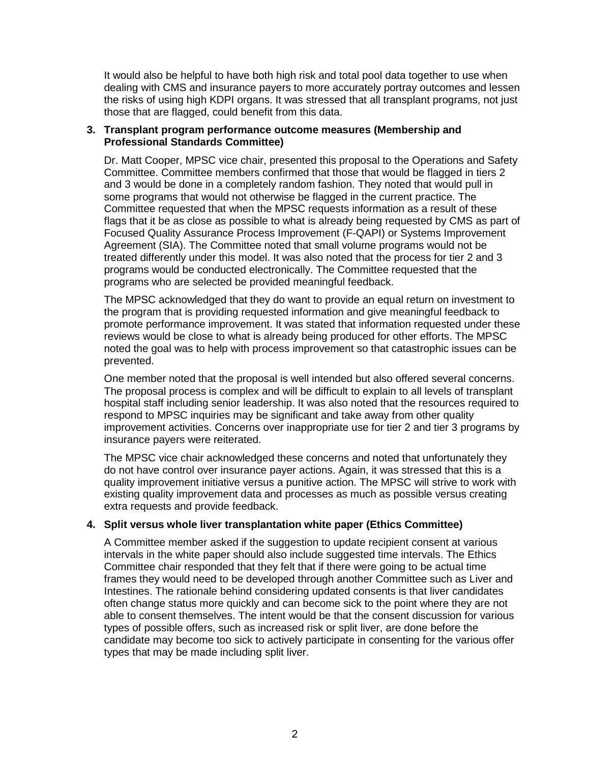It would also be helpful to have both high risk and total pool data together to use when dealing with CMS and insurance payers to more accurately portray outcomes and lessen the risks of using high KDPI organs. It was stressed that all transplant programs, not just those that are flagged, could benefit from this data.

#### **3. Transplant program performance outcome measures (Membership and Professional Standards Committee)**

Dr. Matt Cooper, MPSC vice chair, presented this proposal to the Operations and Safety Committee. Committee members confirmed that those that would be flagged in tiers 2 and 3 would be done in a completely random fashion. They noted that would pull in some programs that would not otherwise be flagged in the current practice. The Committee requested that when the MPSC requests information as a result of these flags that it be as close as possible to what is already being requested by CMS as part of Focused Quality Assurance Process Improvement (F-QAPI) or Systems Improvement Agreement (SIA). The Committee noted that small volume programs would not be treated differently under this model. It was also noted that the process for tier 2 and 3 programs would be conducted electronically. The Committee requested that the programs who are selected be provided meaningful feedback.

The MPSC acknowledged that they do want to provide an equal return on investment to the program that is providing requested information and give meaningful feedback to promote performance improvement. It was stated that information requested under these reviews would be close to what is already being produced for other efforts. The MPSC noted the goal was to help with process improvement so that catastrophic issues can be prevented.

One member noted that the proposal is well intended but also offered several concerns. The proposal process is complex and will be difficult to explain to all levels of transplant hospital staff including senior leadership. It was also noted that the resources required to respond to MPSC inquiries may be significant and take away from other quality improvement activities. Concerns over inappropriate use for tier 2 and tier 3 programs by insurance payers were reiterated.

The MPSC vice chair acknowledged these concerns and noted that unfortunately they do not have control over insurance payer actions. Again, it was stressed that this is a quality improvement initiative versus a punitive action. The MPSC will strive to work with existing quality improvement data and processes as much as possible versus creating extra requests and provide feedback.

### **4. Split versus whole liver transplantation white paper (Ethics Committee)**

A Committee member asked if the suggestion to update recipient consent at various intervals in the white paper should also include suggested time intervals. The Ethics Committee chair responded that they felt that if there were going to be actual time frames they would need to be developed through another Committee such as Liver and Intestines. The rationale behind considering updated consents is that liver candidates often change status more quickly and can become sick to the point where they are not able to consent themselves. The intent would be that the consent discussion for various types of possible offers, such as increased risk or split liver, are done before the candidate may become too sick to actively participate in consenting for the various offer types that may be made including split liver.